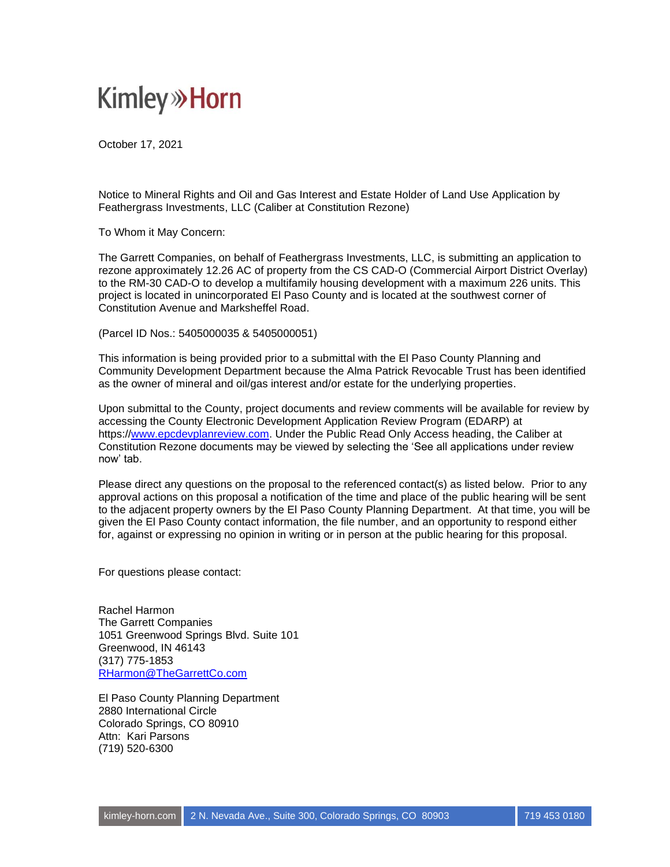## **Kimley»Horn**

October 17, 2021

Notice to Mineral Rights and Oil and Gas Interest and Estate Holder of Land Use Application by Feathergrass Investments, LLC (Caliber at Constitution Rezone)

To Whom it May Concern:

The Garrett Companies, on behalf of Feathergrass Investments, LLC, is submitting an application to rezone approximately 12.26 AC of property from the CS CAD-O (Commercial Airport District Overlay) to the RM-30 CAD-O to develop a multifamily housing development with a maximum 226 units. This project is located in unincorporated El Paso County and is located at the southwest corner of Constitution Avenue and Marksheffel Road.

(Parcel ID Nos.: 5405000035 & 5405000051)

This information is being provided prior to a submittal with the El Paso County Planning and Community Development Department because the Alma Patrick Revocable Trust has been identified as the owner of mineral and oil/gas interest and/or estate for the underlying properties.

Upon submittal to the County, project documents and review comments will be available for review by accessing the County Electronic Development Application Review Program (EDARP) at https:/[/www.epcdevplanreview.com.](http://www.epcdevplanreview.com/) Under the Public Read Only Access heading, the Caliber at Constitution Rezone documents may be viewed by selecting the 'See all applications under review now' tab.

Please direct any questions on the proposal to the referenced contact(s) as listed below. Prior to any approval actions on this proposal a notification of the time and place of the public hearing will be sent to the adjacent property owners by the El Paso County Planning Department. At that time, you will be given the El Paso County contact information, the file number, and an opportunity to respond either for, against or expressing no opinion in writing or in person at the public hearing for this proposal.

For questions please contact:

Rachel Harmon The Garrett Companies 1051 Greenwood Springs Blvd. Suite 101 Greenwood, IN 46143 (317) 775-1853 [RHarmon@TheGarrettCo.com](mailto:RHarmon@TheGarrettCo.com)

El Paso County Planning Department 2880 International Circle Colorado Springs, CO 80910 Attn: Kari Parsons (719) 520-6300